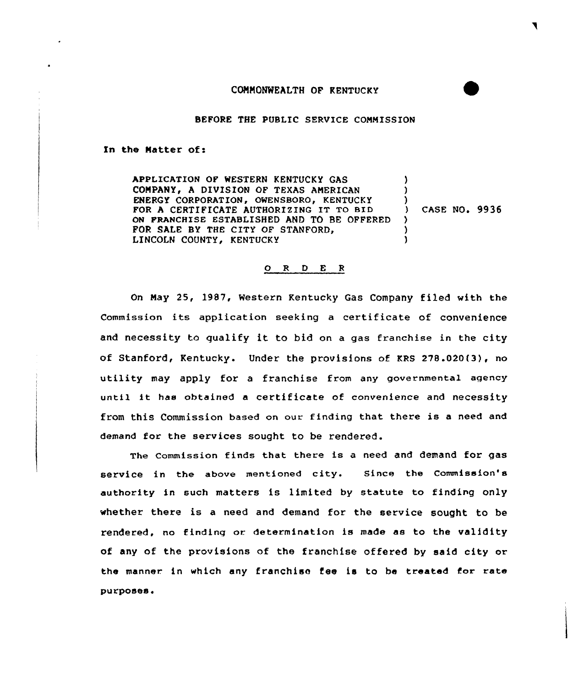## COMMONWEALTH OF KENTUCKY

BEFORE THE PUBLIC SERVICE COMMISSION

In the Matter of:

APPLICATION OF WESTERN KENTUCKY GAS COMPANY, A DIVISION OF TEXAS AMERICAN ENERGY CORPORATION, OWENSBORO, KENTUCKY FOR <sup>A</sup> CERTIFICATE AUTHORIZING IT TO BID ON FRANCHISE ESTABLISHED AND TO BE OFFERED FOR SALE BY THE CITY OF STANFORD, LINCOLN COUNTY, KENTUCKY ) ) )<br>) ) CASE NO. 9936 ) ) )

## 0 <sup>R</sup> <sup>D</sup> <sup>E</sup> <sup>R</sup>

On May 25, 1987, Western Kentucky Gas Company filed with the Commission its application seeking a certificate of convenience and necessity to qualify it to bid on <sup>a</sup> gas franchise in the city of Stanford, Kentucky. Under the provisions of KRS 278.020(3), no utility may apply for <sup>a</sup> franchise from any governmental agency until it has obtained <sup>a</sup> certificate of convenience and necessity from this Commission based on our finding that there is <sup>a</sup> need and demand for the services sought to be rendered.

The commission finds that there is a need and demand for gas service in the above mentioned city. Since the Commission's authority in such matters is limited by statute to finding only whether there is a need and demand for the service sought to be rendered, no finding or determination is made as to the validity of any of the provisions of the franchise offered by said city or the manner in which any franchise tee is to be treated for rate purposes.